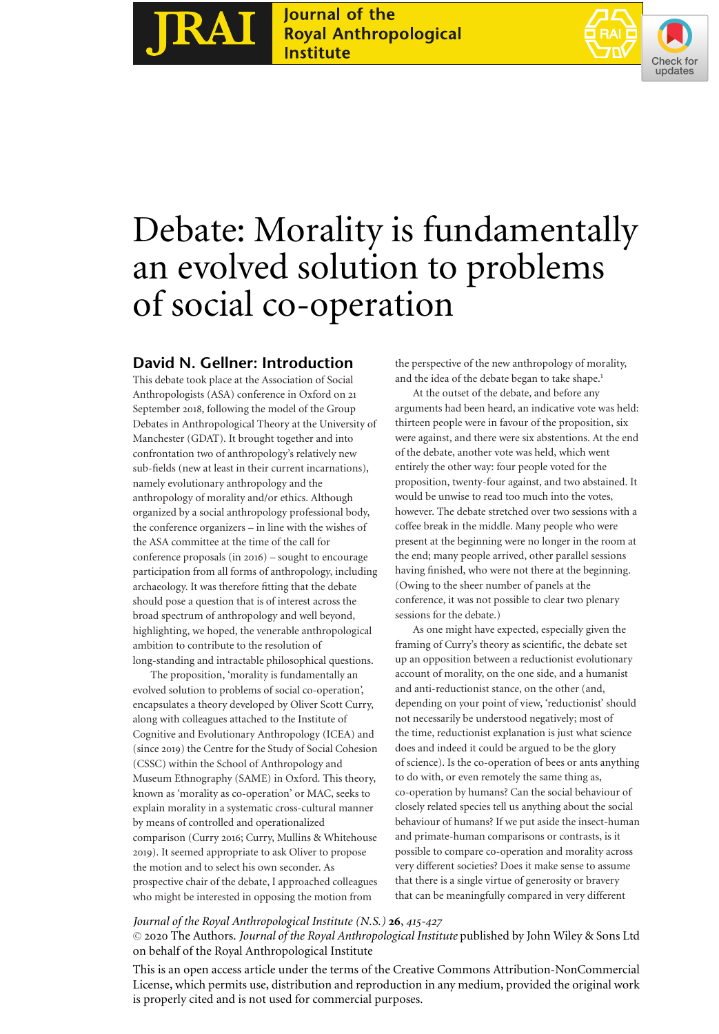Journal of the<br>Royal Anthropological **RAI Institute** 



# Debate: Morality is fundamentally an evolved solution to problems of social co-operation

# **David N. Gellner: Introduction**

This debate took place at the Association of Social Anthropologists (ASA) conference in Oxford on 21 September 2018, following the model of the Group Debates in Anthropological Theory at the University of Manchester (GDAT). It brought together and into confrontation two of anthropology's relatively new sub-fields (new at least in their current incarnations), namely evolutionary anthropology and the anthropology of morality and/or ethics. Although organized by a social anthropology professional body, the conference organizers – in line with the wishes of the ASA committee at the time of the call for conference proposals (in 2016) – sought to encourage participation from all forms of anthropology, including archaeology. It was therefore fitting that the debate should pose a question that is of interest across the broad spectrum of anthropology and well beyond, highlighting, we hoped, the venerable anthropological ambition to contribute to the resolution of long-standing and intractable philosophical questions.

The proposition, 'morality is fundamentally an evolved solution to problems of social co-operation', encapsulates a theory developed by Oliver Scott Curry, along with colleagues attached to the Institute of Cognitive and Evolutionary Anthropology (ICEA) and (since 2019) the Centre for the Study of Social Cohesion (CSSC) within the School of Anthropology and Museum Ethnography (SAME) in Oxford. This theory, known as 'morality as co-operation' or MAC, seeks to explain morality in a systematic cross-cultural manner by means of controlled and operationalized comparison (Curry 2016; Curry, Mullins & Whitehouse 2019). It seemed appropriate to ask Oliver to propose the motion and to select his own seconder. As prospective chair of the debate, I approached colleagues who might be interested in opposing the motion from

the perspective of the new anthropology of morality, and the idea of the debate began to take shape.<sup>1</sup>

At the outset of the debate, and before any arguments had been heard, an indicative vote was held: thirteen people were in favour of the proposition, six were against, and there were six abstentions. At the end of the debate, another vote was held, which went entirely the other way: four people voted for the proposition, twenty-four against, and two abstained. It would be unwise to read too much into the votes, however. The debate stretched over two sessions with a coffee break in the middle. Many people who were present at the beginning were no longer in the room at the end; many people arrived, other parallel sessions having finished, who were not there at the beginning. (Owing to the sheer number of panels at the conference, it was not possible to clear two plenary sessions for the debate.)

As one might have expected, especially given the framing of Curry's theory as scientific, the debate set up an opposition between a reductionist evolutionary account of morality, on the one side, and a humanist and anti-reductionist stance, on the other (and, depending on your point of view, 'reductionist' should not necessarily be understood negatively; most of the time, reductionist explanation is just what science does and indeed it could be argued to be the glory of science). Is the co-operation of bees or ants anything to do with, or even remotely the same thing as, co-operation by humans? Can the social behaviour of closely related species tell us anything about the social behaviour of humans? If we put aside the insect-human and primate-human comparisons or contrasts, is it possible to compare co-operation and morality across very different societies? Does it make sense to assume that there is a single virtue of generosity or bravery that can be meaningfully compared in very different

# *Journal of the Royal Anthropological Institute (N.S.)* **26**, *415-427*

-<sup>C</sup> 2020 The Authors. *Journal of the Royal Anthropological Institute* published by John Wiley & Sons Ltd on behalf of the Royal Anthropological Institute

This is an open access article under the terms of the Creative Commons Attribution-NonCommercial License, which permits use, distribution and reproduction in any medium, provided the original work is properly cited and is not used for commercial purposes.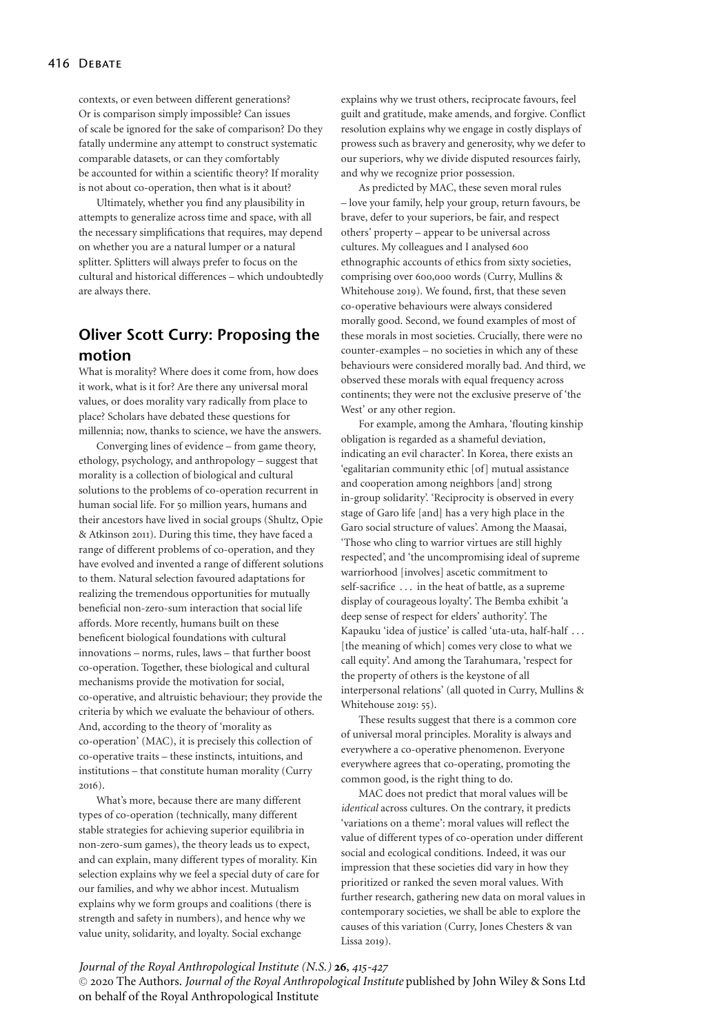contexts, or even between different generations? Or is comparison simply impossible? Can issues of scale be ignored for the sake of comparison? Do they fatally undermine any attempt to construct systematic comparable datasets, or can they comfortably be accounted for within a scientific theory? If morality is not about co-operation, then what is it about?

Ultimately, whether you find any plausibility in attempts to generalize across time and space, with all the necessary simplifications that requires, may depend on whether you are a natural lumper or a natural splitter. Splitters will always prefer to focus on the cultural and historical differences – which undoubtedly are always there.

# **Oliver Scott Curry: Proposing the motion**

What is morality? Where does it come from, how does it work, what is it for? Are there any universal moral values, or does morality vary radically from place to place? Scholars have debated these questions for millennia; now, thanks to science, we have the answers.

Converging lines of evidence – from game theory, ethology, psychology, and anthropology – suggest that morality is a collection of biological and cultural solutions to the problems of co-operation recurrent in human social life. For 50 million years, humans and their ancestors have lived in social groups (Shultz, Opie & Atkinson 2011). During this time, they have faced a range of different problems of co-operation, and they have evolved and invented a range of different solutions to them. Natural selection favoured adaptations for realizing the tremendous opportunities for mutually beneficial non-zero-sum interaction that social life affords. More recently, humans built on these beneficent biological foundations with cultural innovations – norms, rules, laws – that further boost co-operation. Together, these biological and cultural mechanisms provide the motivation for social, co-operative, and altruistic behaviour; they provide the criteria by which we evaluate the behaviour of others. And, according to the theory of 'morality as co-operation' (MAC), it is precisely this collection of co-operative traits – these instincts, intuitions, and institutions – that constitute human morality (Curry 2016).

What's more, because there are many different types of co-operation (technically, many different stable strategies for achieving superior equilibria in non-zero-sum games), the theory leads us to expect, and can explain, many different types of morality. Kin selection explains why we feel a special duty of care for our families, and why we abhor incest. Mutualism explains why we form groups and coalitions (there is strength and safety in numbers), and hence why we value unity, solidarity, and loyalty. Social exchange

explains why we trust others, reciprocate favours, feel guilt and gratitude, make amends, and forgive. Conflict resolution explains why we engage in costly displays of prowess such as bravery and generosity, why we defer to our superiors, why we divide disputed resources fairly, and why we recognize prior possession.

As predicted by MAC, these seven moral rules – love your family, help your group, return favours, be brave, defer to your superiors, be fair, and respect others' property – appear to be universal across cultures. My colleagues and I analysed 600 ethnographic accounts of ethics from sixty societies, comprising over 600,000 words (Curry, Mullins & Whitehouse 2019). We found, first, that these seven co-operative behaviours were always considered morally good. Second, we found examples of most of these morals in most societies. Crucially, there were no counter-examples – no societies in which any of these behaviours were considered morally bad. And third, we observed these morals with equal frequency across continents; they were not the exclusive preserve of 'the West' or any other region.

For example, among the Amhara, 'flouting kinship obligation is regarded as a shameful deviation, indicating an evil character'. In Korea, there exists an 'egalitarian community ethic [of] mutual assistance and cooperation among neighbors [and] strong in-group solidarity'. 'Reciprocity is observed in every stage of Garo life [and] has a very high place in the Garo social structure of values'. Among the Maasai, 'Those who cling to warrior virtues are still highly respected', and 'the uncompromising ideal of supreme warriorhood [involves] ascetic commitment to self-sacrifice . . . in the heat of battle, as a supreme display of courageous loyalty'. The Bemba exhibit 'a deep sense of respect for elders' authority'. The Kapauku 'idea of justice' is called 'uta-uta, half-half . . . [the meaning of which] comes very close to what we call equity'. And among the Tarahumara, 'respect for the property of others is the keystone of all interpersonal relations' (all quoted in Curry, Mullins & Whitehouse 2019: 55).

These results suggest that there is a common core of universal moral principles. Morality is always and everywhere a co-operative phenomenon. Everyone everywhere agrees that co-operating, promoting the common good, is the right thing to do.

MAC does not predict that moral values will be *identical* across cultures. On the contrary, it predicts 'variations on a theme': moral values will reflect the value of different types of co-operation under different social and ecological conditions. Indeed, it was our impression that these societies did vary in how they prioritized or ranked the seven moral values. With further research, gathering new data on moral values in contemporary societies, we shall be able to explore the causes of this variation (Curry, Jones Chesters & van Lissa 2019).

#### *Journal of the Royal Anthropological Institute (N.S.)* **26**, *415-427*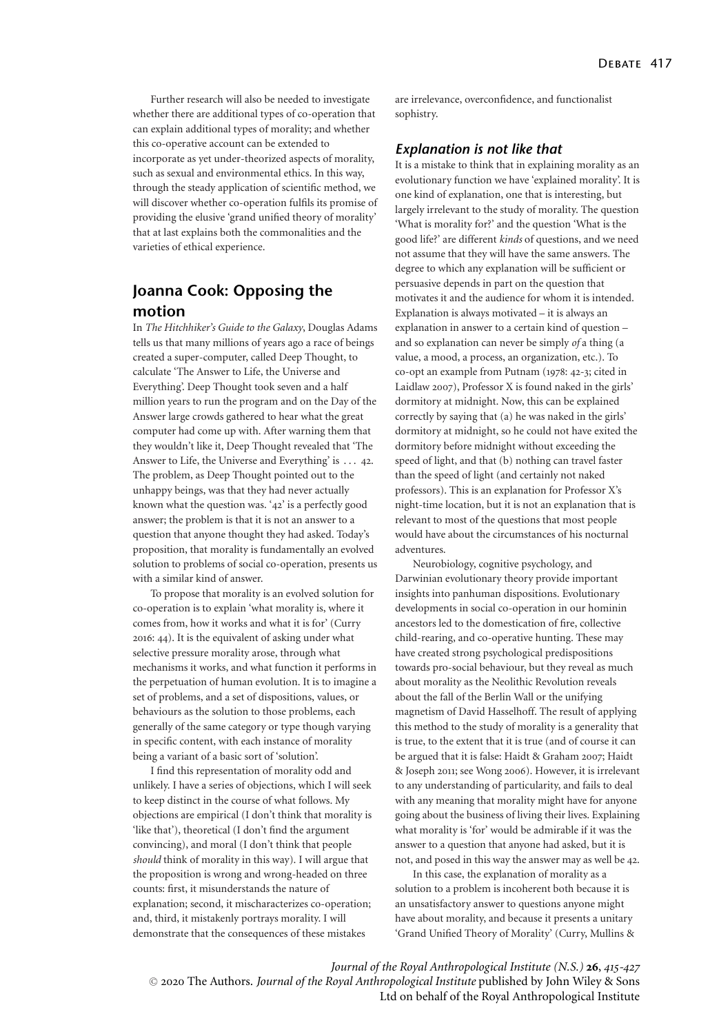Further research will also be needed to investigate whether there are additional types of co-operation that can explain additional types of morality; and whether this co-operative account can be extended to incorporate as yet under-theorized aspects of morality, such as sexual and environmental ethics. In this way, through the steady application of scientific method, we will discover whether co-operation fulfils its promise of providing the elusive 'grand unified theory of morality' that at last explains both the commonalities and the varieties of ethical experience.

# **Joanna Cook: Opposing the motion**

In *The Hitchhiker's Guide to the Galaxy*, Douglas Adams tells us that many millions of years ago a race of beings created a super-computer, called Deep Thought, to calculate 'The Answer to Life, the Universe and Everything'. Deep Thought took seven and a half million years to run the program and on the Day of the Answer large crowds gathered to hear what the great computer had come up with. After warning them that they wouldn't like it, Deep Thought revealed that 'The Answer to Life, the Universe and Everything' is . . . 42. The problem, as Deep Thought pointed out to the unhappy beings, was that they had never actually known what the question was. '42' is a perfectly good answer; the problem is that it is not an answer to a question that anyone thought they had asked. Today's proposition, that morality is fundamentally an evolved solution to problems of social co-operation, presents us with a similar kind of answer.

To propose that morality is an evolved solution for co-operation is to explain 'what morality is, where it comes from, how it works and what it is for' (Curry 2016: 44). It is the equivalent of asking under what selective pressure morality arose, through what mechanisms it works, and what function it performs in the perpetuation of human evolution. It is to imagine a set of problems, and a set of dispositions, values, or behaviours as the solution to those problems, each generally of the same category or type though varying in specific content, with each instance of morality being a variant of a basic sort of 'solution'.

I find this representation of morality odd and unlikely. I have a series of objections, which I will seek to keep distinct in the course of what follows. My objections are empirical (I don't think that morality is 'like that'), theoretical (I don't find the argument convincing), and moral (I don't think that people *should* think of morality in this way). I will argue that the proposition is wrong and wrong-headed on three counts: first, it misunderstands the nature of explanation; second, it mischaracterizes co-operation; and, third, it mistakenly portrays morality. I will demonstrate that the consequences of these mistakes

are irrelevance, overconfidence, and functionalist sophistry.

## *Explanation is not like that*

It is a mistake to think that in explaining morality as an evolutionary function we have 'explained morality'. It is one kind of explanation, one that is interesting, but largely irrelevant to the study of morality. The question 'What is morality for?' and the question 'What is the good life?' are different *kinds* of questions, and we need not assume that they will have the same answers. The degree to which any explanation will be sufficient or persuasive depends in part on the question that motivates it and the audience for whom it is intended. Explanation is always motivated – it is always an explanation in answer to a certain kind of question – and so explanation can never be simply *of* a thing (a value, a mood, a process, an organization, etc.). To co-opt an example from Putnam (1978: 42-3; cited in Laidlaw 2007), Professor X is found naked in the girls' dormitory at midnight. Now, this can be explained correctly by saying that (a) he was naked in the girls' dormitory at midnight, so he could not have exited the dormitory before midnight without exceeding the speed of light, and that (b) nothing can travel faster than the speed of light (and certainly not naked professors). This is an explanation for Professor X's night-time location, but it is not an explanation that is relevant to most of the questions that most people would have about the circumstances of his nocturnal adventures.

Neurobiology, cognitive psychology, and Darwinian evolutionary theory provide important insights into panhuman dispositions. Evolutionary developments in social co-operation in our hominin ancestors led to the domestication of fire, collective child-rearing, and co-operative hunting. These may have created strong psychological predispositions towards pro-social behaviour, but they reveal as much about morality as the Neolithic Revolution reveals about the fall of the Berlin Wall or the unifying magnetism of David Hasselhoff. The result of applying this method to the study of morality is a generality that is true, to the extent that it is true (and of course it can be argued that it is false: Haidt & Graham 2007; Haidt & Joseph 2011; see Wong 2006). However, it is irrelevant to any understanding of particularity, and fails to deal with any meaning that morality might have for anyone going about the business of living their lives. Explaining what morality is 'for' would be admirable if it was the answer to a question that anyone had asked, but it is not, and posed in this way the answer may as well be 42.

In this case, the explanation of morality as a solution to a problem is incoherent both because it is an unsatisfactory answer to questions anyone might have about morality, and because it presents a unitary 'Grand Unified Theory of Morality' (Curry, Mullins &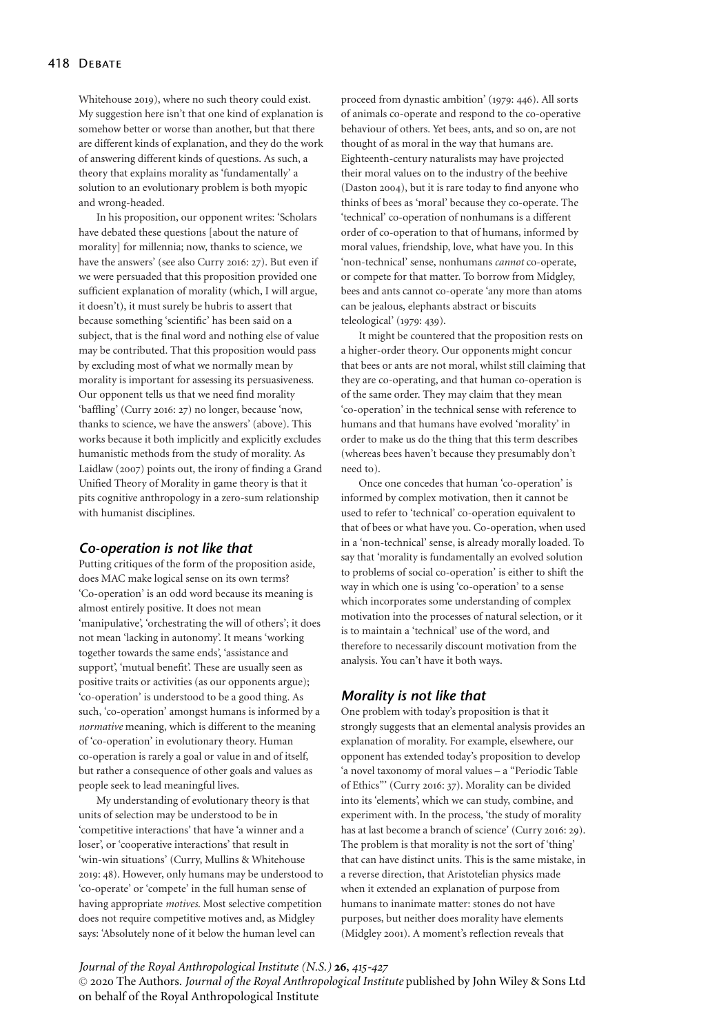Whitehouse 2019), where no such theory could exist. My suggestion here isn't that one kind of explanation is somehow better or worse than another, but that there are different kinds of explanation, and they do the work of answering different kinds of questions. As such, a theory that explains morality as 'fundamentally' a solution to an evolutionary problem is both myopic and wrong-headed.

In his proposition, our opponent writes: 'Scholars have debated these questions [about the nature of morality] for millennia; now, thanks to science, we have the answers' (see also Curry 2016: 27). But even if we were persuaded that this proposition provided one sufficient explanation of morality (which, I will argue, it doesn't), it must surely be hubris to assert that because something 'scientific' has been said on a subject, that is the final word and nothing else of value may be contributed. That this proposition would pass by excluding most of what we normally mean by morality is important for assessing its persuasiveness. Our opponent tells us that we need find morality 'baffling' (Curry 2016: 27) no longer, because 'now, thanks to science, we have the answers' (above). This works because it both implicitly and explicitly excludes humanistic methods from the study of morality. As Laidlaw (2007) points out, the irony of finding a Grand Unified Theory of Morality in game theory is that it pits cognitive anthropology in a zero-sum relationship with humanist disciplines.

#### *Co-operation is not like that*

Putting critiques of the form of the proposition aside, does MAC make logical sense on its own terms? 'Co-operation' is an odd word because its meaning is almost entirely positive. It does not mean 'manipulative', 'orchestrating the will of others'; it does not mean 'lacking in autonomy'. It means 'working together towards the same ends', 'assistance and support', 'mutual benefit'. These are usually seen as positive traits or activities (as our opponents argue); 'co-operation' is understood to be a good thing. As such, 'co-operation' amongst humans is informed by a *normative* meaning, which is different to the meaning of 'co-operation' in evolutionary theory. Human co-operation is rarely a goal or value in and of itself, but rather a consequence of other goals and values as people seek to lead meaningful lives.

My understanding of evolutionary theory is that units of selection may be understood to be in 'competitive interactions' that have 'a winner and a loser', or 'cooperative interactions' that result in 'win-win situations' (Curry, Mullins & Whitehouse 2019: 48). However, only humans may be understood to 'co-operate' or 'compete' in the full human sense of having appropriate *motives*. Most selective competition does not require competitive motives and, as Midgley says: 'Absolutely none of it below the human level can

proceed from dynastic ambition' (1979: 446). All sorts of animals co-operate and respond to the co-operative behaviour of others. Yet bees, ants, and so on, are not thought of as moral in the way that humans are. Eighteenth-century naturalists may have projected their moral values on to the industry of the beehive (Daston 2004), but it is rare today to find anyone who thinks of bees as 'moral' because they co-operate. The 'technical' co-operation of nonhumans is a different order of co-operation to that of humans, informed by moral values, friendship, love, what have you. In this 'non-technical' sense, nonhumans *cannot* co-operate, or compete for that matter. To borrow from Midgley, bees and ants cannot co-operate 'any more than atoms can be jealous, elephants abstract or biscuits teleological' (1979: 439).

It might be countered that the proposition rests on a higher-order theory. Our opponents might concur that bees or ants are not moral, whilst still claiming that they are co-operating, and that human co-operation is of the same order. They may claim that they mean 'co-operation' in the technical sense with reference to humans and that humans have evolved 'morality' in order to make us do the thing that this term describes (whereas bees haven't because they presumably don't need to).

Once one concedes that human 'co-operation' is informed by complex motivation, then it cannot be used to refer to 'technical' co-operation equivalent to that of bees or what have you. Co-operation, when used in a 'non-technical' sense, is already morally loaded. To say that 'morality is fundamentally an evolved solution to problems of social co-operation' is either to shift the way in which one is using 'co-operation' to a sense which incorporates some understanding of complex motivation into the processes of natural selection, or it is to maintain a 'technical' use of the word, and therefore to necessarily discount motivation from the analysis. You can't have it both ways.

## *Morality is not like that*

One problem with today's proposition is that it strongly suggests that an elemental analysis provides an explanation of morality. For example, elsewhere, our opponent has extended today's proposition to develop 'a novel taxonomy of moral values – a "Periodic Table of Ethics"' (Curry 2016: 37). Morality can be divided into its 'elements', which we can study, combine, and experiment with. In the process, 'the study of morality has at last become a branch of science' (Curry 2016: 29). The problem is that morality is not the sort of 'thing' that can have distinct units. This is the same mistake, in a reverse direction, that Aristotelian physics made when it extended an explanation of purpose from humans to inanimate matter: stones do not have purposes, but neither does morality have elements (Midgley 2001). A moment's reflection reveals that

## *Journal of the Royal Anthropological Institute (N.S.)* **26**, *415-427*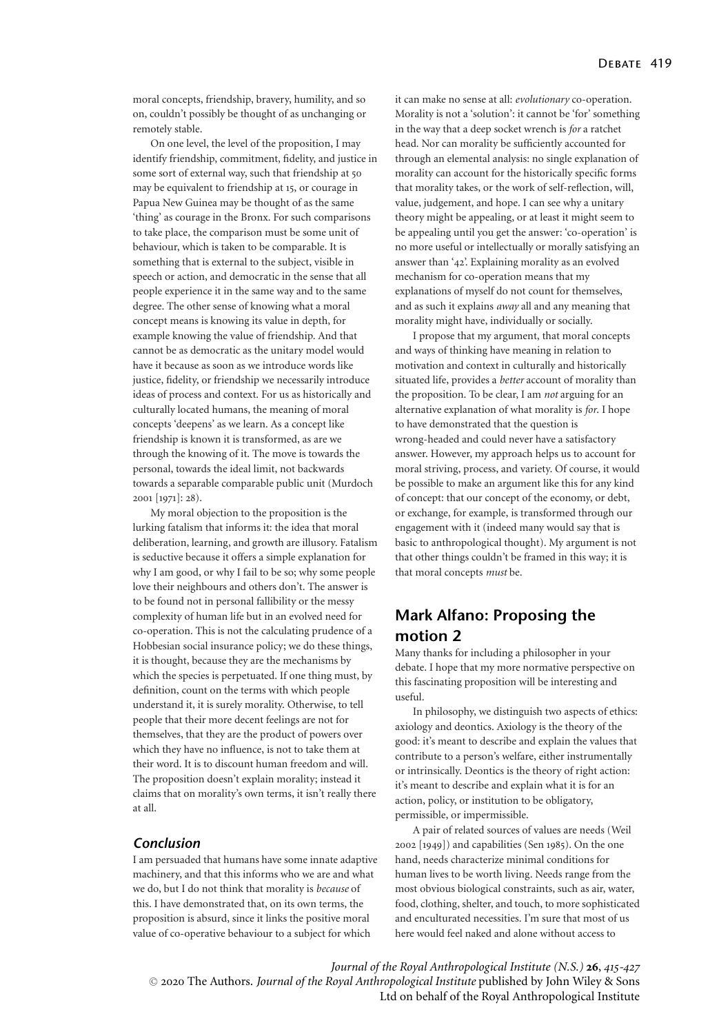moral concepts, friendship, bravery, humility, and so on, couldn't possibly be thought of as unchanging or remotely stable.

On one level, the level of the proposition, I may identify friendship, commitment, fidelity, and justice in some sort of external way, such that friendship at 50 may be equivalent to friendship at 15, or courage in Papua New Guinea may be thought of as the same 'thing' as courage in the Bronx. For such comparisons to take place, the comparison must be some unit of behaviour, which is taken to be comparable. It is something that is external to the subject, visible in speech or action, and democratic in the sense that all people experience it in the same way and to the same degree. The other sense of knowing what a moral concept means is knowing its value in depth, for example knowing the value of friendship. And that cannot be as democratic as the unitary model would have it because as soon as we introduce words like justice, fidelity, or friendship we necessarily introduce ideas of process and context. For us as historically and culturally located humans, the meaning of moral concepts 'deepens' as we learn. As a concept like friendship is known it is transformed, as are we through the knowing of it. The move is towards the personal, towards the ideal limit, not backwards towards a separable comparable public unit (Murdoch 2001 [1971]: 28).

My moral objection to the proposition is the lurking fatalism that informs it: the idea that moral deliberation, learning, and growth are illusory. Fatalism is seductive because it offers a simple explanation for why I am good, or why I fail to be so; why some people love their neighbours and others don't. The answer is to be found not in personal fallibility or the messy complexity of human life but in an evolved need for co-operation. This is not the calculating prudence of a Hobbesian social insurance policy; we do these things, it is thought, because they are the mechanisms by which the species is perpetuated. If one thing must, by definition, count on the terms with which people understand it, it is surely morality. Otherwise, to tell people that their more decent feelings are not for themselves, that they are the product of powers over which they have no influence, is not to take them at their word. It is to discount human freedom and will. The proposition doesn't explain morality; instead it claims that on morality's own terms, it isn't really there at all.

## *Conclusion*

I am persuaded that humans have some innate adaptive machinery, and that this informs who we are and what we do, but I do not think that morality is *because* of this. I have demonstrated that, on its own terms, the proposition is absurd, since it links the positive moral value of co-operative behaviour to a subject for which

it can make no sense at all: *evolutionary* co-operation. Morality is not a 'solution': it cannot be 'for' something in the way that a deep socket wrench is *for* a ratchet head. Nor can morality be sufficiently accounted for through an elemental analysis: no single explanation of morality can account for the historically specific forms that morality takes, or the work of self-reflection, will, value, judgement, and hope. I can see why a unitary theory might be appealing, or at least it might seem to be appealing until you get the answer: 'co-operation' is no more useful or intellectually or morally satisfying an answer than '42'. Explaining morality as an evolved mechanism for co-operation means that my explanations of myself do not count for themselves, and as such it explains *away* all and any meaning that morality might have, individually or socially.

I propose that my argument, that moral concepts and ways of thinking have meaning in relation to motivation and context in culturally and historically situated life, provides a *better* account of morality than the proposition. To be clear, I am *not* arguing for an alternative explanation of what morality is *for*. I hope to have demonstrated that the question is wrong-headed and could never have a satisfactory answer. However, my approach helps us to account for moral striving, process, and variety. Of course, it would be possible to make an argument like this for any kind of concept: that our concept of the economy, or debt, or exchange, for example, is transformed through our engagement with it (indeed many would say that is basic to anthropological thought). My argument is not that other things couldn't be framed in this way; it is that moral concepts *must* be.

# **Mark Alfano: Proposing the motion 2**

Many thanks for including a philosopher in your debate. I hope that my more normative perspective on this fascinating proposition will be interesting and useful.

In philosophy, we distinguish two aspects of ethics: axiology and deontics. Axiology is the theory of the good: it's meant to describe and explain the values that contribute to a person's welfare, either instrumentally or intrinsically. Deontics is the theory of right action: it's meant to describe and explain what it is for an action, policy, or institution to be obligatory, permissible, or impermissible.

A pair of related sources of values are needs (Weil 2002 [1949]) and capabilities (Sen 1985). On the one hand, needs characterize minimal conditions for human lives to be worth living. Needs range from the most obvious biological constraints, such as air, water, food, clothing, shelter, and touch, to more sophisticated and enculturated necessities. I'm sure that most of us here would feel naked and alone without access to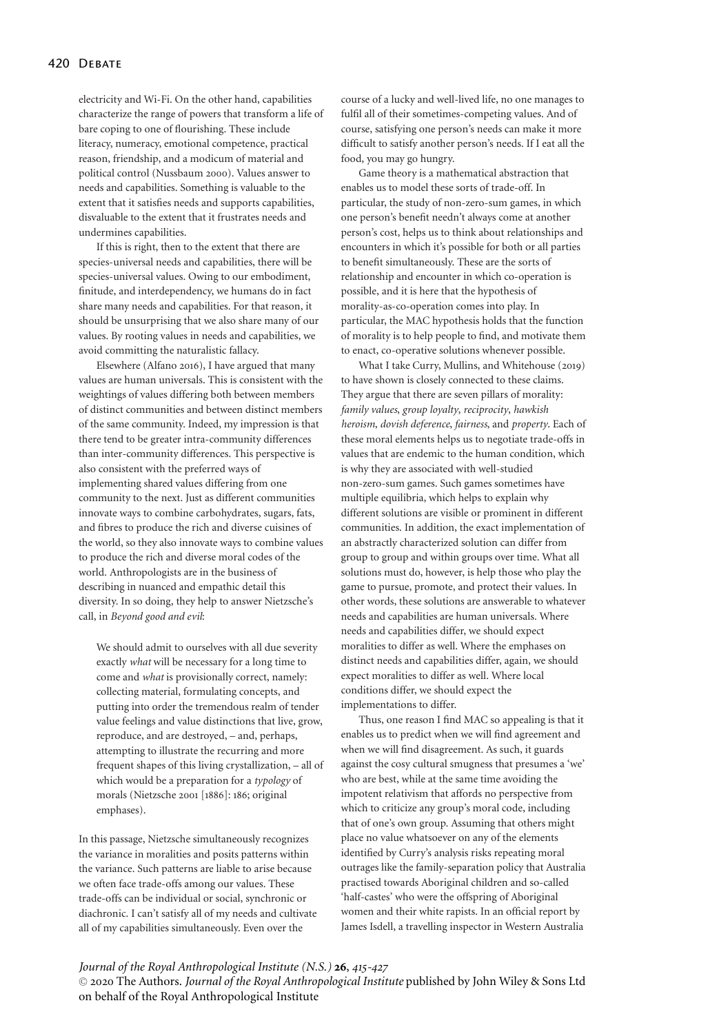electricity and Wi-Fi. On the other hand, capabilities characterize the range of powers that transform a life of bare coping to one of flourishing. These include literacy, numeracy, emotional competence, practical reason, friendship, and a modicum of material and political control (Nussbaum 2000). Values answer to needs and capabilities. Something is valuable to the extent that it satisfies needs and supports capabilities, disvaluable to the extent that it frustrates needs and undermines capabilities.

If this is right, then to the extent that there are species-universal needs and capabilities, there will be species-universal values. Owing to our embodiment, finitude, and interdependency, we humans do in fact share many needs and capabilities. For that reason, it should be unsurprising that we also share many of our values. By rooting values in needs and capabilities, we avoid committing the naturalistic fallacy.

Elsewhere (Alfano 2016), I have argued that many values are human universals. This is consistent with the weightings of values differing both between members of distinct communities and between distinct members of the same community. Indeed, my impression is that there tend to be greater intra-community differences than inter-community differences. This perspective is also consistent with the preferred ways of implementing shared values differing from one community to the next. Just as different communities innovate ways to combine carbohydrates, sugars, fats, and fibres to produce the rich and diverse cuisines of the world, so they also innovate ways to combine values to produce the rich and diverse moral codes of the world. Anthropologists are in the business of describing in nuanced and empathic detail this diversity. In so doing, they help to answer Nietzsche's call, in *Beyond good and evil*:

We should admit to ourselves with all due severity exactly *what* will be necessary for a long time to come and *what* is provisionally correct, namely: collecting material, formulating concepts, and putting into order the tremendous realm of tender value feelings and value distinctions that live, grow, reproduce, and are destroyed, – and, perhaps, attempting to illustrate the recurring and more frequent shapes of this living crystallization, – all of which would be a preparation for a *typology* of morals (Nietzsche 2001 [1886]: 186; original emphases).

In this passage, Nietzsche simultaneously recognizes the variance in moralities and posits patterns within the variance. Such patterns are liable to arise because we often face trade-offs among our values. These trade-offs can be individual or social, synchronic or diachronic. I can't satisfy all of my needs and cultivate all of my capabilities simultaneously. Even over the

course of a lucky and well-lived life, no one manages to fulfil all of their sometimes-competing values. And of course, satisfying one person's needs can make it more difficult to satisfy another person's needs. If I eat all the food, you may go hungry.

Game theory is a mathematical abstraction that enables us to model these sorts of trade-off. In particular, the study of non-zero-sum games, in which one person's benefit needn't always come at another person's cost, helps us to think about relationships and encounters in which it's possible for both or all parties to benefit simultaneously. These are the sorts of relationship and encounter in which co-operation is possible, and it is here that the hypothesis of morality-as-co-operation comes into play. In particular, the MAC hypothesis holds that the function of morality is to help people to find, and motivate them to enact, co-operative solutions whenever possible.

What I take Curry, Mullins, and Whitehouse (2019) to have shown is closely connected to these claims. They argue that there are seven pillars of morality: *family values*, *group loyalty*, *reciprocity*, *hawkish heroism*, *dovish deference*, *fairness*, and *property*. Each of these moral elements helps us to negotiate trade-offs in values that are endemic to the human condition, which is why they are associated with well-studied non-zero-sum games. Such games sometimes have multiple equilibria, which helps to explain why different solutions are visible or prominent in different communities. In addition, the exact implementation of an abstractly characterized solution can differ from group to group and within groups over time. What all solutions must do, however, is help those who play the game to pursue, promote, and protect their values. In other words, these solutions are answerable to whatever needs and capabilities are human universals. Where needs and capabilities differ, we should expect moralities to differ as well. Where the emphases on distinct needs and capabilities differ, again, we should expect moralities to differ as well. Where local conditions differ, we should expect the implementations to differ.

Thus, one reason I find MAC so appealing is that it enables us to predict when we will find agreement and when we will find disagreement. As such, it guards against the cosy cultural smugness that presumes a 'we' who are best, while at the same time avoiding the impotent relativism that affords no perspective from which to criticize any group's moral code, including that of one's own group. Assuming that others might place no value whatsoever on any of the elements identified by Curry's analysis risks repeating moral outrages like the family-separation policy that Australia practised towards Aboriginal children and so-called 'half-castes' who were the offspring of Aboriginal women and their white rapists. In an official report by James Isdell, a travelling inspector in Western Australia

# *Journal of the Royal Anthropological Institute (N.S.)* **26**, *415-427*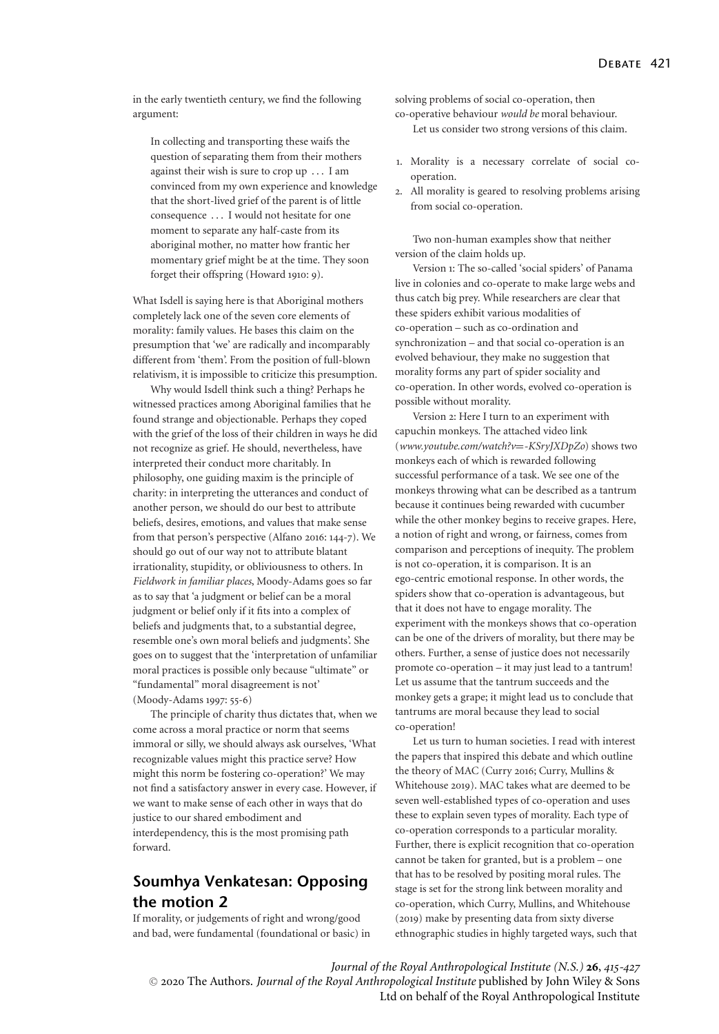in the early twentieth century, we find the following argument:

In collecting and transporting these waifs the question of separating them from their mothers against their wish is sure to crop up . . . I am convinced from my own experience and knowledge that the short-lived grief of the parent is of little consequence . . . I would not hesitate for one moment to separate any half-caste from its aboriginal mother, no matter how frantic her momentary grief might be at the time. They soon forget their offspring (Howard 1910: 9).

What Isdell is saying here is that Aboriginal mothers completely lack one of the seven core elements of morality: family values. He bases this claim on the presumption that 'we' are radically and incomparably different from 'them'. From the position of full-blown relativism, it is impossible to criticize this presumption.

Why would Isdell think such a thing? Perhaps he witnessed practices among Aboriginal families that he found strange and objectionable. Perhaps they coped with the grief of the loss of their children in ways he did not recognize as grief. He should, nevertheless, have interpreted their conduct more charitably. In philosophy, one guiding maxim is the principle of charity: in interpreting the utterances and conduct of another person, we should do our best to attribute beliefs, desires, emotions, and values that make sense from that person's perspective (Alfano 2016: 144-7). We should go out of our way not to attribute blatant irrationality, stupidity, or obliviousness to others. In *Fieldwork in familiar places*, Moody-Adams goes so far as to say that 'a judgment or belief can be a moral judgment or belief only if it fits into a complex of beliefs and judgments that, to a substantial degree, resemble one's own moral beliefs and judgments'. She goes on to suggest that the 'interpretation of unfamiliar moral practices is possible only because "ultimate" or "fundamental" moral disagreement is not' (Moody-Adams 1997: 55-6)

The principle of charity thus dictates that, when we come across a moral practice or norm that seems immoral or silly, we should always ask ourselves, 'What recognizable values might this practice serve? How might this norm be fostering co-operation?' We may not find a satisfactory answer in every case. However, if we want to make sense of each other in ways that do justice to our shared embodiment and interdependency, this is the most promising path forward.

# **Soumhya Venkatesan: Opposing the motion 2**

If morality, or judgements of right and wrong/good and bad, were fundamental (foundational or basic) in solving problems of social co-operation, then

co-operative behaviour *would be* moral behaviour. Let us consider two strong versions of this claim.

- 1. Morality is a necessary correlate of social cooperation.
- 2. All morality is geared to resolving problems arising from social co-operation.

Two non-human examples show that neither version of the claim holds up.

Version 1: The so-called 'social spiders' of Panama live in colonies and co-operate to make large webs and thus catch big prey. While researchers are clear that these spiders exhibit various modalities of co-operation – such as co-ordination and synchronization – and that social co-operation is an evolved behaviour, they make no suggestion that morality forms any part of spider sociality and co-operation. In other words, evolved co-operation is possible without morality.

Version 2: Here I turn to an experiment with capuchin monkeys. The attached video link (*www.youtube.com/watch?v*=*-KSryJXDpZo*) shows two monkeys each of which is rewarded following successful performance of a task. We see one of the monkeys throwing what can be described as a tantrum because it continues being rewarded with cucumber while the other monkey begins to receive grapes. Here, a notion of right and wrong, or fairness, comes from comparison and perceptions of inequity. The problem is not co-operation, it is comparison. It is an ego-centric emotional response. In other words, the spiders show that co-operation is advantageous, but that it does not have to engage morality. The experiment with the monkeys shows that co-operation can be one of the drivers of morality, but there may be others. Further, a sense of justice does not necessarily promote co-operation – it may just lead to a tantrum! Let us assume that the tantrum succeeds and the monkey gets a grape; it might lead us to conclude that tantrums are moral because they lead to social co-operation!

Let us turn to human societies. I read with interest the papers that inspired this debate and which outline the theory of MAC (Curry 2016; Curry, Mullins & Whitehouse 2019). MAC takes what are deemed to be seven well-established types of co-operation and uses these to explain seven types of morality. Each type of co-operation corresponds to a particular morality. Further, there is explicit recognition that co-operation cannot be taken for granted, but is a problem – one that has to be resolved by positing moral rules. The stage is set for the strong link between morality and co-operation, which Curry, Mullins, and Whitehouse (2019) make by presenting data from sixty diverse ethnographic studies in highly targeted ways, such that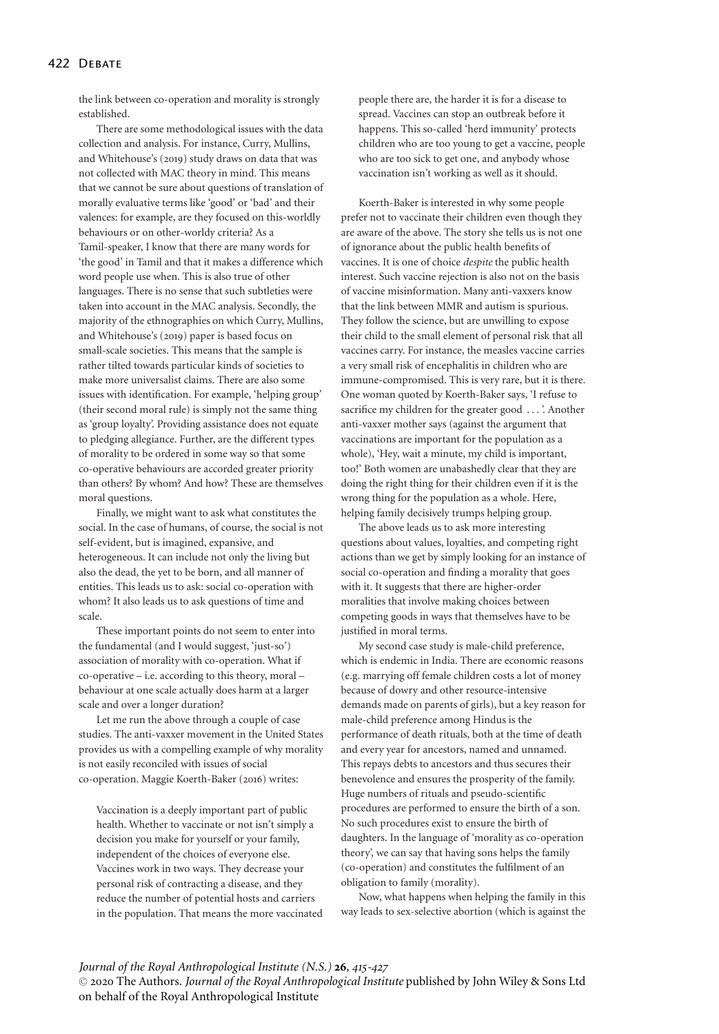the link between co-operation and morality is strongly established.

There are some methodological issues with the data collection and analysis. For instance, Curry, Mullins, and Whitehouse's (2019) study draws on data that was not collected with MAC theory in mind. This means that we cannot be sure about questions of translation of morally evaluative terms like 'good' or 'bad' and their valences: for example, are they focused on this-worldly behaviours or on other-worldy criteria? As a Tamil-speaker, I know that there are many words for 'the good' in Tamil and that it makes a difference which word people use when. This is also true of other languages. There is no sense that such subtleties were taken into account in the MAC analysis. Secondly, the majority of the ethnographies on which Curry, Mullins, and Whitehouse's (2019) paper is based focus on small-scale societies. This means that the sample is rather tilted towards particular kinds of societies to make more universalist claims. There are also some issues with identification. For example, 'helping group' (their second moral rule) is simply not the same thing as 'group loyalty'. Providing assistance does not equate to pledging allegiance. Further, are the different types of morality to be ordered in some way so that some co-operative behaviours are accorded greater priority than others? By whom? And how? These are themselves moral questions.

Finally, we might want to ask what constitutes the social. In the case of humans, of course, the social is not self-evident, but is imagined, expansive, and heterogeneous. It can include not only the living but also the dead, the yet to be born, and all manner of entities. This leads us to ask: social co-operation with whom? It also leads us to ask questions of time and scale.

These important points do not seem to enter into the fundamental (and I would suggest, 'just-so') association of morality with co-operation. What if co-operative – i.e. according to this theory, moral – behaviour at one scale actually does harm at a larger scale and over a longer duration?

Let me run the above through a couple of case studies. The anti-vaxxer movement in the United States provides us with a compelling example of why morality is not easily reconciled with issues of social co-operation. Maggie Koerth-Baker (2016) writes:

Vaccination is a deeply important part of public health. Whether to vaccinate or not isn't simply a decision you make for yourself or your family, independent of the choices of everyone else. Vaccines work in two ways. They decrease your personal risk of contracting a disease, and they reduce the number of potential hosts and carriers in the population. That means the more vaccinated

people there are, the harder it is for a disease to spread. Vaccines can stop an outbreak before it happens. This so-called 'herd immunity' protects children who are too young to get a vaccine, people who are too sick to get one, and anybody whose vaccination isn't working as well as it should.

Koerth-Baker is interested in why some people prefer not to vaccinate their children even though they are aware of the above. The story she tells us is not one of ignorance about the public health benefits of vaccines. It is one of choice *despite* the public health interest. Such vaccine rejection is also not on the basis of vaccine misinformation. Many anti-vaxxers know that the link between MMR and autism is spurious. They follow the science, but are unwilling to expose their child to the small element of personal risk that all vaccines carry. For instance, the measles vaccine carries a very small risk of encephalitis in children who are immune-compromised. This is very rare, but it is there. One woman quoted by Koerth-Baker says, 'I refuse to sacrifice my children for the greater good . . . '. Another anti-vaxxer mother says (against the argument that vaccinations are important for the population as a whole), 'Hey, wait a minute, my child is important, too!' Both women are unabashedly clear that they are doing the right thing for their children even if it is the wrong thing for the population as a whole. Here, helping family decisively trumps helping group.

The above leads us to ask more interesting questions about values, loyalties, and competing right actions than we get by simply looking for an instance of social co-operation and finding a morality that goes with it. It suggests that there are higher-order moralities that involve making choices between competing goods in ways that themselves have to be justified in moral terms.

My second case study is male-child preference, which is endemic in India. There are economic reasons (e.g. marrying off female children costs a lot of money because of dowry and other resource-intensive demands made on parents of girls), but a key reason for male-child preference among Hindus is the performance of death rituals, both at the time of death and every year for ancestors, named and unnamed. This repays debts to ancestors and thus secures their benevolence and ensures the prosperity of the family. Huge numbers of rituals and pseudo-scientific procedures are performed to ensure the birth of a son. No such procedures exist to ensure the birth of daughters. In the language of 'morality as co-operation theory', we can say that having sons helps the family (co-operation) and constitutes the fulfilment of an obligation to family (morality).

Now, what happens when helping the family in this way leads to sex-selective abortion (which is against the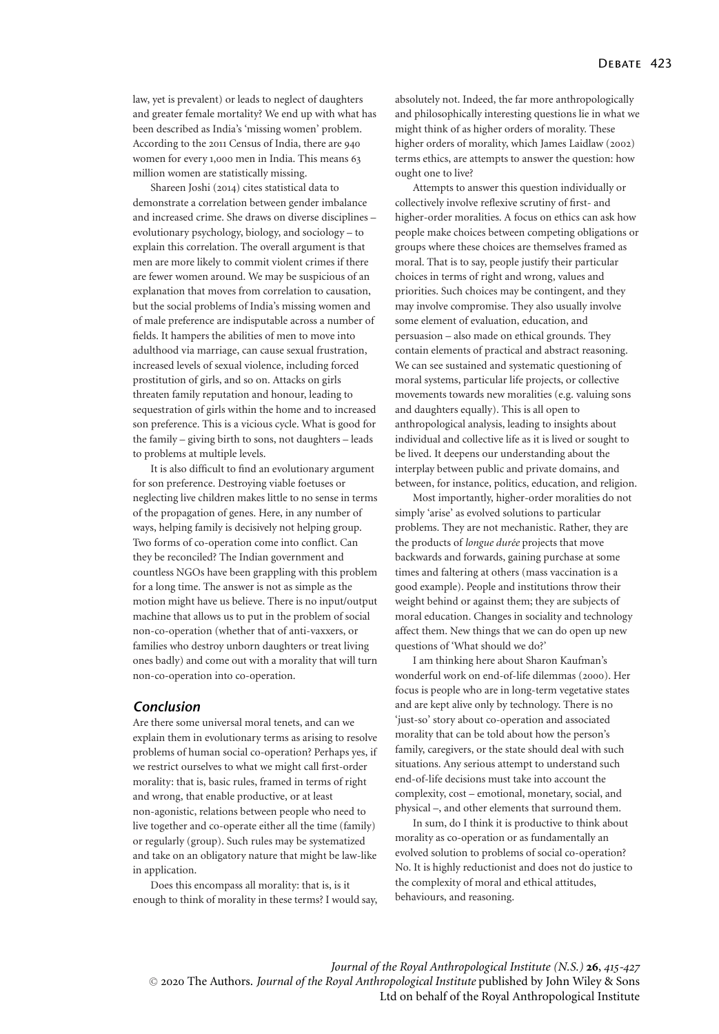law, yet is prevalent) or leads to neglect of daughters and greater female mortality? We end up with what has been described as India's 'missing women' problem. According to the 2011 Census of India, there are 940 women for every 1,000 men in India. This means 63 million women are statistically missing.

Shareen Joshi (2014) cites statistical data to demonstrate a correlation between gender imbalance and increased crime. She draws on diverse disciplines – evolutionary psychology, biology, and sociology – to explain this correlation. The overall argument is that men are more likely to commit violent crimes if there are fewer women around. We may be suspicious of an explanation that moves from correlation to causation, but the social problems of India's missing women and of male preference are indisputable across a number of fields. It hampers the abilities of men to move into adulthood via marriage, can cause sexual frustration, increased levels of sexual violence, including forced prostitution of girls, and so on. Attacks on girls threaten family reputation and honour, leading to sequestration of girls within the home and to increased son preference. This is a vicious cycle. What is good for the family – giving birth to sons, not daughters – leads to problems at multiple levels.

It is also difficult to find an evolutionary argument for son preference. Destroying viable foetuses or neglecting live children makes little to no sense in terms of the propagation of genes. Here, in any number of ways, helping family is decisively not helping group. Two forms of co-operation come into conflict. Can they be reconciled? The Indian government and countless NGOs have been grappling with this problem for a long time. The answer is not as simple as the motion might have us believe. There is no input/output machine that allows us to put in the problem of social non-co-operation (whether that of anti-vaxxers, or families who destroy unborn daughters or treat living ones badly) and come out with a morality that will turn non-co-operation into co-operation.

## *Conclusion*

Are there some universal moral tenets, and can we explain them in evolutionary terms as arising to resolve problems of human social co-operation? Perhaps yes, if we restrict ourselves to what we might call first-order morality: that is, basic rules, framed in terms of right and wrong, that enable productive, or at least non-agonistic, relations between people who need to live together and co-operate either all the time (family) or regularly (group). Such rules may be systematized and take on an obligatory nature that might be law-like in application.

Does this encompass all morality: that is, is it enough to think of morality in these terms? I would say, absolutely not. Indeed, the far more anthropologically and philosophically interesting questions lie in what we might think of as higher orders of morality. These higher orders of morality, which James Laidlaw (2002) terms ethics, are attempts to answer the question: how ought one to live?

Attempts to answer this question individually or collectively involve reflexive scrutiny of first- and higher-order moralities. A focus on ethics can ask how people make choices between competing obligations or groups where these choices are themselves framed as moral. That is to say, people justify their particular choices in terms of right and wrong, values and priorities. Such choices may be contingent, and they may involve compromise. They also usually involve some element of evaluation, education, and persuasion – also made on ethical grounds. They contain elements of practical and abstract reasoning. We can see sustained and systematic questioning of moral systems, particular life projects, or collective movements towards new moralities (e.g. valuing sons and daughters equally). This is all open to anthropological analysis, leading to insights about individual and collective life as it is lived or sought to be lived. It deepens our understanding about the interplay between public and private domains, and between, for instance, politics, education, and religion.

Most importantly, higher-order moralities do not simply 'arise' as evolved solutions to particular problems. They are not mechanistic. Rather, they are the products of *longue durée* projects that move backwards and forwards, gaining purchase at some times and faltering at others (mass vaccination is a good example). People and institutions throw their weight behind or against them; they are subjects of moral education. Changes in sociality and technology affect them. New things that we can do open up new questions of 'What should we do?'

I am thinking here about Sharon Kaufman's wonderful work on end-of-life dilemmas (2000). Her focus is people who are in long-term vegetative states and are kept alive only by technology. There is no 'just-so' story about co-operation and associated morality that can be told about how the person's family, caregivers, or the state should deal with such situations. Any serious attempt to understand such end-of-life decisions must take into account the complexity, cost – emotional, monetary, social, and physical –, and other elements that surround them.

In sum, do I think it is productive to think about morality as co-operation or as fundamentally an evolved solution to problems of social co-operation? No. It is highly reductionist and does not do justice to the complexity of moral and ethical attitudes, behaviours, and reasoning.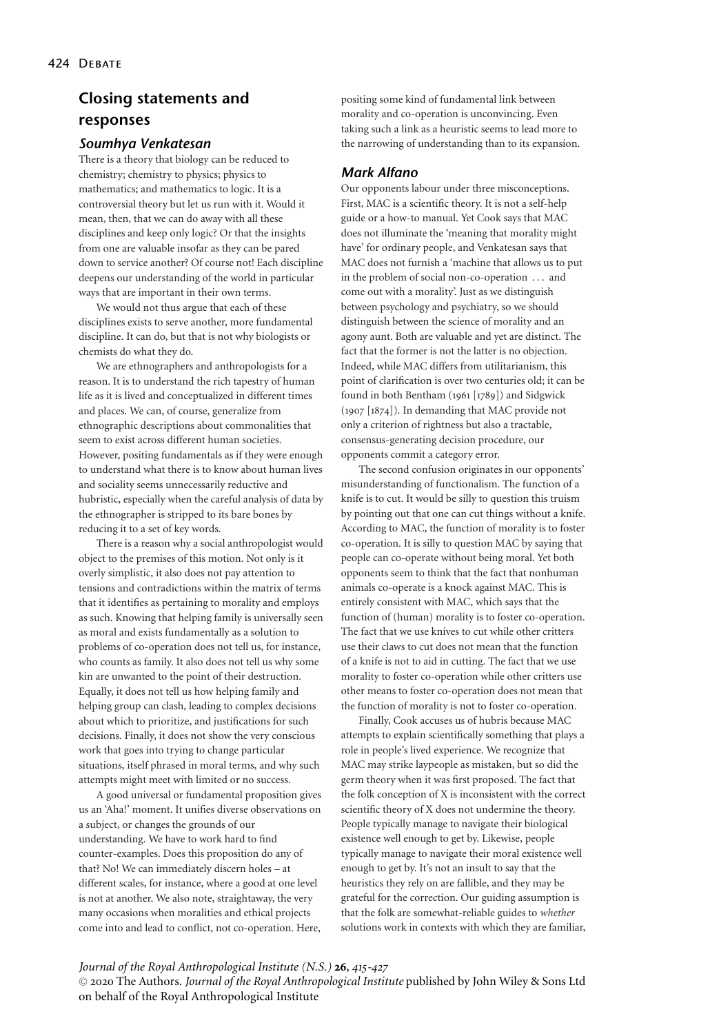# **Closing statements and responses**

## *Soumhya Venkatesan*

There is a theory that biology can be reduced to chemistry; chemistry to physics; physics to mathematics; and mathematics to logic. It is a controversial theory but let us run with it. Would it mean, then, that we can do away with all these disciplines and keep only logic? Or that the insights from one are valuable insofar as they can be pared down to service another? Of course not! Each discipline deepens our understanding of the world in particular ways that are important in their own terms.

We would not thus argue that each of these disciplines exists to serve another, more fundamental discipline. It can do, but that is not why biologists or chemists do what they do.

We are ethnographers and anthropologists for a reason. It is to understand the rich tapestry of human life as it is lived and conceptualized in different times and places. We can, of course, generalize from ethnographic descriptions about commonalities that seem to exist across different human societies. However, positing fundamentals as if they were enough to understand what there is to know about human lives and sociality seems unnecessarily reductive and hubristic, especially when the careful analysis of data by the ethnographer is stripped to its bare bones by reducing it to a set of key words.

There is a reason why a social anthropologist would object to the premises of this motion. Not only is it overly simplistic, it also does not pay attention to tensions and contradictions within the matrix of terms that it identifies as pertaining to morality and employs as such. Knowing that helping family is universally seen as moral and exists fundamentally as a solution to problems of co-operation does not tell us, for instance, who counts as family. It also does not tell us why some kin are unwanted to the point of their destruction. Equally, it does not tell us how helping family and helping group can clash, leading to complex decisions about which to prioritize, and justifications for such decisions. Finally, it does not show the very conscious work that goes into trying to change particular situations, itself phrased in moral terms, and why such attempts might meet with limited or no success.

A good universal or fundamental proposition gives us an 'Aha!' moment. It unifies diverse observations on a subject, or changes the grounds of our understanding. We have to work hard to find counter-examples. Does this proposition do any of that? No! We can immediately discern holes – at different scales, for instance, where a good at one level is not at another. We also note, straightaway, the very many occasions when moralities and ethical projects come into and lead to conflict, not co-operation. Here, positing some kind of fundamental link between morality and co-operation is unconvincing. Even taking such a link as a heuristic seems to lead more to the narrowing of understanding than to its expansion.

# *Mark Alfano*

Our opponents labour under three misconceptions. First, MAC is a scientific theory. It is not a self-help guide or a how-to manual. Yet Cook says that MAC does not illuminate the 'meaning that morality might have' for ordinary people, and Venkatesan says that MAC does not furnish a 'machine that allows us to put in the problem of social non-co-operation . . . and come out with a morality'. Just as we distinguish between psychology and psychiatry, so we should distinguish between the science of morality and an agony aunt. Both are valuable and yet are distinct. The fact that the former is not the latter is no objection. Indeed, while MAC differs from utilitarianism, this point of clarification is over two centuries old; it can be found in both Bentham (1961 [1789]) and Sidgwick (1907 [1874]). In demanding that MAC provide not only a criterion of rightness but also a tractable, consensus-generating decision procedure, our opponents commit a category error.

The second confusion originates in our opponents' misunderstanding of functionalism. The function of a knife is to cut. It would be silly to question this truism by pointing out that one can cut things without a knife. According to MAC, the function of morality is to foster co-operation. It is silly to question MAC by saying that people can co-operate without being moral. Yet both opponents seem to think that the fact that nonhuman animals co-operate is a knock against MAC. This is entirely consistent with MAC, which says that the function of (human) morality is to foster co-operation. The fact that we use knives to cut while other critters use their claws to cut does not mean that the function of a knife is not to aid in cutting. The fact that we use morality to foster co-operation while other critters use other means to foster co-operation does not mean that the function of morality is not to foster co-operation.

Finally, Cook accuses us of hubris because MAC attempts to explain scientifically something that plays a role in people's lived experience. We recognize that MAC may strike laypeople as mistaken, but so did the germ theory when it was first proposed. The fact that the folk conception of X is inconsistent with the correct scientific theory of X does not undermine the theory. People typically manage to navigate their biological existence well enough to get by. Likewise, people typically manage to navigate their moral existence well enough to get by. It's not an insult to say that the heuristics they rely on are fallible, and they may be grateful for the correction. Our guiding assumption is that the folk are somewhat-reliable guides to *whether* solutions work in contexts with which they are familiar,

*Journal of the Royal Anthropological Institute (N.S.)* **26**, *415-427*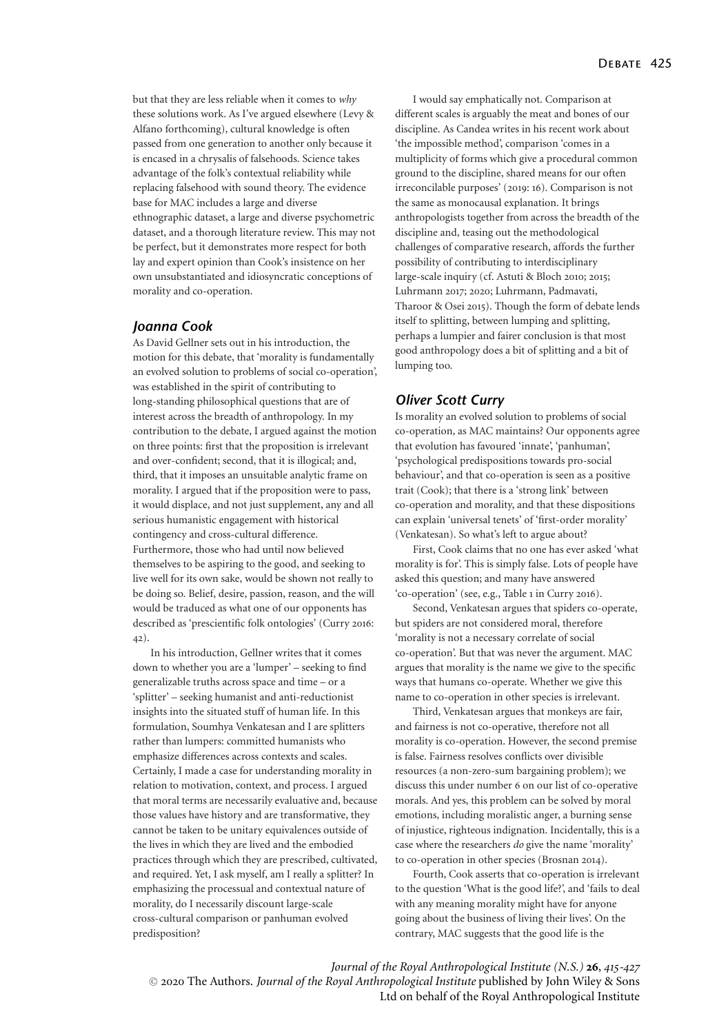but that they are less reliable when it comes to *why* these solutions work. As I've argued elsewhere (Levy & Alfano forthcoming), cultural knowledge is often passed from one generation to another only because it is encased in a chrysalis of falsehoods. Science takes advantage of the folk's contextual reliability while replacing falsehood with sound theory. The evidence base for MAC includes a large and diverse ethnographic dataset, a large and diverse psychometric dataset, and a thorough literature review. This may not be perfect, but it demonstrates more respect for both lay and expert opinion than Cook's insistence on her own unsubstantiated and idiosyncratic conceptions of morality and co-operation.

#### *Joanna Cook*

As David Gellner sets out in his introduction, the motion for this debate, that 'morality is fundamentally an evolved solution to problems of social co-operation', was established in the spirit of contributing to long-standing philosophical questions that are of interest across the breadth of anthropology. In my contribution to the debate, I argued against the motion on three points: first that the proposition is irrelevant and over-confident; second, that it is illogical; and, third, that it imposes an unsuitable analytic frame on morality. I argued that if the proposition were to pass, it would displace, and not just supplement, any and all serious humanistic engagement with historical contingency and cross-cultural difference. Furthermore, those who had until now believed themselves to be aspiring to the good, and seeking to live well for its own sake, would be shown not really to be doing so. Belief, desire, passion, reason, and the will would be traduced as what one of our opponents has described as 'prescientific folk ontologies' (Curry 2016: 42).

In his introduction, Gellner writes that it comes down to whether you are a 'lumper' – seeking to find generalizable truths across space and time – or a 'splitter' – seeking humanist and anti-reductionist insights into the situated stuff of human life. In this formulation, Soumhya Venkatesan and I are splitters rather than lumpers: committed humanists who emphasize differences across contexts and scales. Certainly, I made a case for understanding morality in relation to motivation, context, and process. I argued that moral terms are necessarily evaluative and, because those values have history and are transformative, they cannot be taken to be unitary equivalences outside of the lives in which they are lived and the embodied practices through which they are prescribed, cultivated, and required. Yet, I ask myself, am I really a splitter? In emphasizing the processual and contextual nature of morality, do I necessarily discount large-scale cross-cultural comparison or panhuman evolved predisposition?

I would say emphatically not. Comparison at different scales is arguably the meat and bones of our discipline. As Candea writes in his recent work about 'the impossible method', comparison 'comes in a multiplicity of forms which give a procedural common ground to the discipline, shared means for our often irreconcilable purposes' (2019: 16). Comparison is not the same as monocausal explanation. It brings anthropologists together from across the breadth of the discipline and, teasing out the methodological challenges of comparative research, affords the further possibility of contributing to interdisciplinary large-scale inquiry (cf. Astuti & Bloch 2010; 2015; Luhrmann 2017; 2020; Luhrmann, Padmavati, Tharoor & Osei 2015). Though the form of debate lends itself to splitting, between lumping and splitting, perhaps a lumpier and fairer conclusion is that most good anthropology does a bit of splitting and a bit of lumping too.

# *Oliver Scott Curry*

Is morality an evolved solution to problems of social co-operation, as MAC maintains? Our opponents agree that evolution has favoured 'innate', 'panhuman', 'psychological predispositions towards pro-social behaviour', and that co-operation is seen as a positive trait (Cook); that there is a 'strong link' between co-operation and morality, and that these dispositions can explain 'universal tenets' of 'first-order morality' (Venkatesan). So what's left to argue about?

First, Cook claims that no one has ever asked 'what morality is for'. This is simply false. Lots of people have asked this question; and many have answered 'co-operation' (see, e.g., Table 1 in Curry 2016).

Second, Venkatesan argues that spiders co-operate, but spiders are not considered moral, therefore 'morality is not a necessary correlate of social co-operation'. But that was never the argument. MAC argues that morality is the name we give to the specific ways that humans co-operate. Whether we give this name to co-operation in other species is irrelevant.

Third, Venkatesan argues that monkeys are fair, and fairness is not co-operative, therefore not all morality is co-operation. However, the second premise is false. Fairness resolves conflicts over divisible resources (a non-zero-sum bargaining problem); we discuss this under number 6 on our list of co-operative morals. And yes, this problem can be solved by moral emotions, including moralistic anger, a burning sense of injustice, righteous indignation. Incidentally, this is a case where the researchers *do* give the name 'morality' to co-operation in other species (Brosnan 2014).

Fourth, Cook asserts that co-operation is irrelevant to the question 'What is the good life?', and 'fails to deal with any meaning morality might have for anyone going about the business of living their lives'. On the contrary, MAC suggests that the good life is the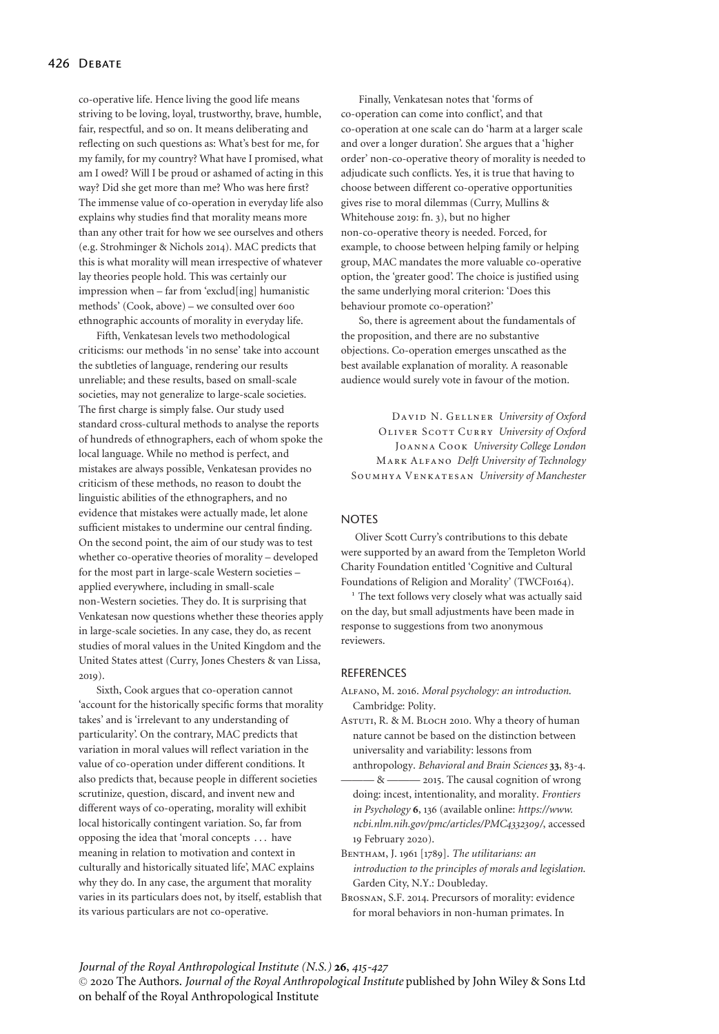co-operative life. Hence living the good life means striving to be loving, loyal, trustworthy, brave, humble, fair, respectful, and so on. It means deliberating and reflecting on such questions as: What's best for me, for my family, for my country? What have I promised, what am I owed? Will I be proud or ashamed of acting in this way? Did she get more than me? Who was here first? The immense value of co-operation in everyday life also explains why studies find that morality means more than any other trait for how we see ourselves and others (e.g. Strohminger & Nichols 2014). MAC predicts that this is what morality will mean irrespective of whatever lay theories people hold. This was certainly our impression when – far from 'exclud[ing] humanistic methods' (Cook, above) – we consulted over 600 ethnographic accounts of morality in everyday life.

Fifth, Venkatesan levels two methodological criticisms: our methods 'in no sense' take into account the subtleties of language, rendering our results unreliable; and these results, based on small-scale societies, may not generalize to large-scale societies. The first charge is simply false. Our study used standard cross-cultural methods to analyse the reports of hundreds of ethnographers, each of whom spoke the local language. While no method is perfect, and mistakes are always possible, Venkatesan provides no criticism of these methods, no reason to doubt the linguistic abilities of the ethnographers, and no evidence that mistakes were actually made, let alone sufficient mistakes to undermine our central finding. On the second point, the aim of our study was to test whether co-operative theories of morality – developed for the most part in large-scale Western societies – applied everywhere, including in small-scale non-Western societies. They do. It is surprising that Venkatesan now questions whether these theories apply in large-scale societies. In any case, they do, as recent studies of moral values in the United Kingdom and the United States attest (Curry, Jones Chesters & van Lissa, 2019).

Sixth, Cook argues that co-operation cannot 'account for the historically specific forms that morality takes' and is 'irrelevant to any understanding of particularity'. On the contrary, MAC predicts that variation in moral values will reflect variation in the value of co-operation under different conditions. It also predicts that, because people in different societies scrutinize, question, discard, and invent new and different ways of co-operating, morality will exhibit local historically contingent variation. So, far from opposing the idea that 'moral concepts . . . have meaning in relation to motivation and context in culturally and historically situated life', MAC explains why they do. In any case, the argument that morality varies in its particulars does not, by itself, establish that its various particulars are not co-operative.

Finally, Venkatesan notes that 'forms of co-operation can come into conflict', and that co-operation at one scale can do 'harm at a larger scale and over a longer duration'. She argues that a 'higher order' non-co-operative theory of morality is needed to adjudicate such conflicts. Yes, it is true that having to choose between different co-operative opportunities gives rise to moral dilemmas (Curry, Mullins & Whitehouse 2019: fn. 3), but no higher non-co-operative theory is needed. Forced, for example, to choose between helping family or helping group, MAC mandates the more valuable co-operative option, the 'greater good'. The choice is justified using the same underlying moral criterion: 'Does this behaviour promote co-operation?'

So, there is agreement about the fundamentals of the proposition, and there are no substantive objections. Co-operation emerges unscathed as the best available explanation of morality. A reasonable audience would surely vote in favour of the motion.

David N. Gellner *University of Oxford* Oliver Scott Curry *University of Oxford* Joanna Cook *University College London* Mark Alfano *Delft University of Technology* Soumhya Venkatesan *University of Manchester*

## **NOTES**

Oliver Scott Curry's contributions to this debate were supported by an award from the Templeton World Charity Foundation entitled 'Cognitive and Cultural Foundations of Religion and Morality' (TWCF0164).

<sup>1</sup> The text follows very closely what was actually said on the day, but small adjustments have been made in response to suggestions from two anonymous reviewers.

#### REFERENCES

Alfano, M. 2016. *Moral psychology: an introduction*. Cambridge: Polity.

ASTUTI, R. & M. BLOCH 2010. Why a theory of human nature cannot be based on the distinction between universality and variability: lessons from

anthropology. *Behavioral and Brain Sciences* **33**, 83-4. - & ——— 2015. The causal cognition of wrong

- doing: incest, intentionality, and morality. *Frontiers in Psychology* **6**, 136 (available online: *https://www. ncbi.nlm.nih.gov/pmc/articles/PMC4332309/*, accessed 19 February 2020).
- Bentham, J. 1961 [1789]. *The utilitarians: an introduction to the principles of morals and legislation*. Garden City, N.Y.: Doubleday.
- Brosnan, S.F. 2014. Precursors of morality: evidence for moral behaviors in non-human primates. In